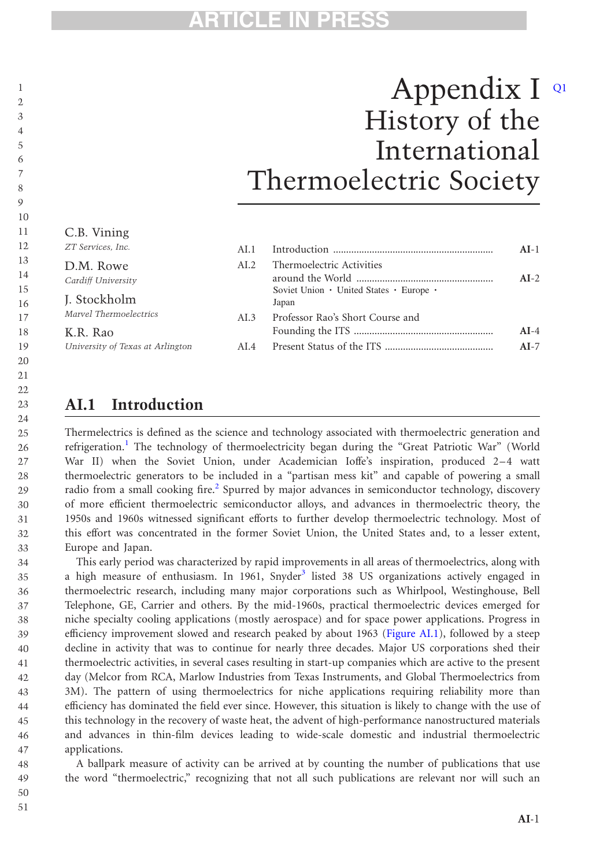# <sup>1</sup>/<sub>2</sub></sub> Appendix I <sup>Q1</sup> History of the International Thermoelectric Society

#### C.B. Vining ZT Services, Inc. 11 12

30 31

| ZT Services, Inc.                | AI.1  |                                                  | $AI-1$ |
|----------------------------------|-------|--------------------------------------------------|--------|
| D.M. Rowe<br>Cardiff University  | AI.2. | Thermoelectric Activities                        | $AI-2$ |
| J. Stockholm                     |       | Soviet Union • United States • Europe •<br>Japan |        |
| Marvel Thermoelectrics           | AI.3  | Professor Rao's Short Course and                 |        |
| K.R. Rao                         |       |                                                  | $AI-4$ |
| University of Texas at Arlington | AL4   |                                                  | $AI-7$ |

### AI.1 Introduction

Thermelectrics is defined as the science and technology associated with thermoelectric generation and refrigeration.<sup>[1](#page-7-0)</sup> The technology of thermoelectricity began during the "Great Patriotic War" (World War II) when the Soviet Union, under Academician Ioffe's inspiration, produced 2–4 watt thermoelectric generators to be included in a "partisan mess kit" and capable of powering a small radio from a small cooking fire.<sup>[2](#page-7-0)</sup> Spurred by major advances in semiconductor technology, discovery of more efficient thermoelectric semiconductor alloys, and advances in thermoelectric theory, the 1950s and 1960s witnessed significant efforts to further develop thermoelectric technology. Most of this effort was concentrated in the former Soviet Union, the United States and, to a lesser extent, Europe and Japan. 28 29 32 33

This early period was characterized by rapid improvements in all areas of thermoelectrics, along with a high measure of enthusiasm. In 1961, Snyder<sup>[3](#page-7-0)</sup> listed 38 US organizations actively engaged in thermoelectric research, including many major corporations such as Whirlpool, Westinghouse, Bell Telephone, GE, Carrier and others. By the mid-1960s, practical thermoelectric devices emerged for niche specialty cooling applications (mostly aerospace) and for space power applications. Progress in efficiency improvement slowed and research peaked by about 1963 ([Figure AI.1](#page-1-0)), followed by a steep decline in activity that was to continue for nearly three decades. Major US corporations shed their thermoelectric activities, in several cases resulting in start-up companies which are active to the present day (Melcor from RCA, Marlow Industries from Texas Instruments, and Global Thermoelectrics from 3M). The pattern of using thermoelectrics for niche applications requiring reliability more than efficiency has dominated the field ever since. However, this situation is likely to change with the use of this technology in the recovery of waste heat, the advent of high-performance nanostructured materials and advances in thin-film devices leading to wide-scale domestic and industrial thermoelectric applications. 34 35 36 37 38 39  $40$ 41 42 43 44 45 46 47

A ballpark measure of activity can be arrived at by counting the number of publications that use the word "thermoelectric," recognizing that not all such publications are relevant nor will such an 48 49

50 51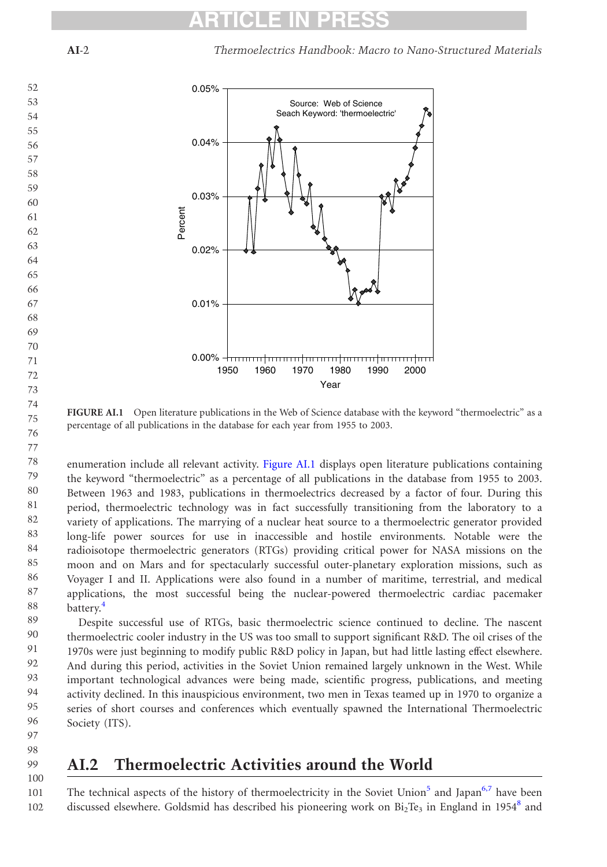AI-2 Thermoelectrics Handbook: Macro to Nano-Structured Materials

<span id="page-1-0"></span>

FIGURE AI.1 Open literature publications in the Web of Science database with the keyword "thermoelectric" as a percentage of all publications in the database for each year from 1955 to 2003.

enumeration include all relevant activity. Figure AI.1 displays open literature publications containing the keyword "thermoelectric" as a percentage of all publications in the database from 1955 to 2003. Between 1963 and 1983, publications in thermoelectrics decreased by a factor of four. During this period, thermoelectric technology was in fact successfully transitioning from the laboratory to a variety of applications. The marrying of a nuclear heat source to a thermoelectric generator provided long-life power sources for use in inaccessible and hostile environments. Notable were the radioisotope thermoelectric generators (RTGs) providing critical power for NASA missions on the moon and on Mars and for spectacularly successful outer-planetary exploration missions, such as Voyager I and II. Applications were also found in a number of maritime, terrestrial, and medical applications, the most successful being the nuclear-powered thermoelectric cardiac pacemaker battery.<sup>[4](#page-7-0)</sup> 78 79 80 81 82 83 84 85 86 87 88

Despite successful use of RTGs, basic thermoelectric science continued to decline. The nascent thermoelectric cooler industry in the US was too small to support significant R&D. The oil crises of the 1970s were just beginning to modify public R&D policy in Japan, but had little lasting effect elsewhere. And during this period, activities in the Soviet Union remained largely unknown in the West. While important technological advances were being made, scientific progress, publications, and meeting activity declined. In this inauspicious environment, two men in Texas teamed up in 1970 to organize a series of short courses and conferences which eventually spawned the International Thermoelectric Society (ITS). 89 90 91 92 93 94 95 96

97 98 99

100

75 76 77

### AI.2 Thermoelectric Activities around the World

The technical aspects of the history of thermoelectricity in the Soviet Union<sup>[5](#page-7-0)</sup> and Japan<sup>[6,7](#page-7-0)</sup> have been discussed elsewhere. Goldsmid has described his pioneering work on  $Bi_2Te_3$  in England in 1954<sup>[8](#page-7-0)</sup> and 101 102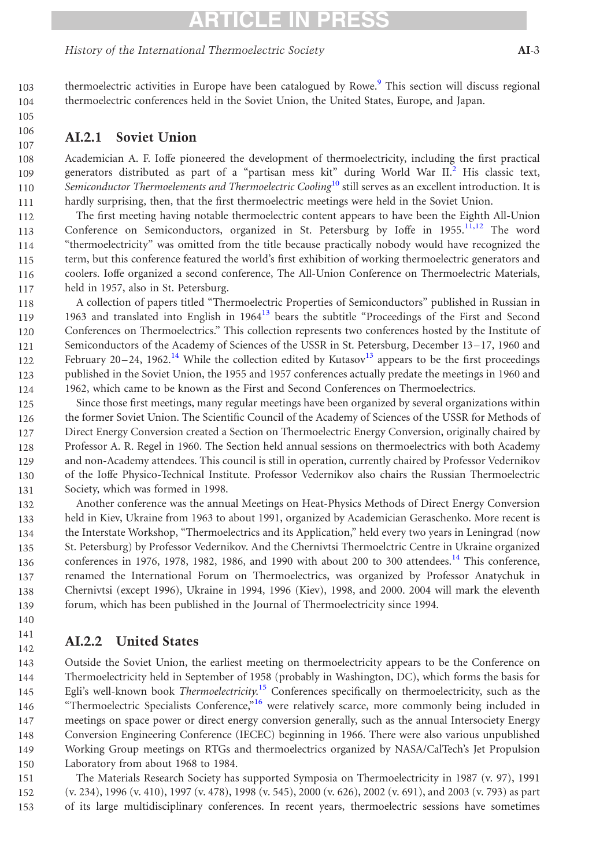### TICLE IN

thermoelectric activities in Europe have been catalogued by Rowe.<sup>[9](#page-7-0)</sup> This section will discuss regional

#### History of the International Thermoelectric Society AI-3

103 104

- 105
- 106 107

#### AI.2.1 Soviet Union

Academician A. F. Ioffe pioneered the development of thermoelectricity, including the first practical generators distributed as part of a "partisan mess kit" during World War II.[2](#page-7-0) His classic text, Semiconductor Thermoelements and Thermoelectric Cooling<sup>[10](#page-7-0)</sup> still serves as an excellent introduction. It is hardly surprising, then, that the first thermoelectric meetings were held in the Soviet Union. 108 109 110 111

thermoelectric conferences held in the Soviet Union, the United States, Europe, and Japan.

The first meeting having notable thermoelectric content appears to have been the Eighth All-Union Conference on Semiconductors, organized in St. Petersburg by Ioffe in  $1955$ ,  $11,12$  The word "thermoelectricity" was omitted from the title because practically nobody would have recognized the term, but this conference featured the world's first exhibition of working thermoelectric generators and coolers. Ioffe organized a second conference, The All-Union Conference on Thermoelectric Materials, held in 1957, also in St. Petersburg. 112 113 114 115 116 117

A collection of papers titled "Thermoelectric Properties of Semiconductors" published in Russian in 1963 and translated into English in  $1964<sup>13</sup>$  $1964<sup>13</sup>$  $1964<sup>13</sup>$  bears the subtitle "Proceedings of the First and Second Conferences on Thermoelectrics." This collection represents two conferences hosted by the Institute of Semiconductors of the Academy of Sciences of the USSR in St. Petersburg, December 13–17, 1960 and February 20–24, 1962.<sup>[14](#page-7-0)</sup> While the collection edited by Kutasov<sup>13</sup> appears to be the first proceedings published in the Soviet Union, the 1955 and 1957 conferences actually predate the meetings in 1960 and 1962, which came to be known as the First and Second Conferences on Thermoelectrics. 118 119 120 121 122 123 124

Since those first meetings, many regular meetings have been organized by several organizations within the former Soviet Union. The Scientific Council of the Academy of Sciences of the USSR for Methods of Direct Energy Conversion created a Section on Thermoelectric Energy Conversion, originally chaired by Professor A. R. Regel in 1960. The Section held annual sessions on thermoelectrics with both Academy and non-Academy attendees. This council is still in operation, currently chaired by Professor Vedernikov of the Ioffe Physico-Technical Institute. Professor Vedernikov also chairs the Russian Thermoelectric Society, which was formed in 1998. 125 126 127 128 129 130 131

Another conference was the annual Meetings on Heat-Physics Methods of Direct Energy Conversion held in Kiev, Ukraine from 1963 to about 1991, organized by Academician Geraschenko. More recent is the Interstate Workshop, "Thermoelectrics and its Application," held every two years in Leningrad (now St. Petersburg) by Professor Vedernikov. And the Chernivtsi Thermoelctric Centre in Ukraine organized conferences in 1976, 1978, 1982, 1986, and 1990 with about 200 to 300 attendees.<sup>[14](#page-7-0)</sup> This conference, renamed the International Forum on Thermoelectrics, was organized by Professor Anatychuk in Chernivtsi (except 1996), Ukraine in 1994, 1996 (Kiev), 1998, and 2000. 2004 will mark the eleventh forum, which has been published in the Journal of Thermoelectricity since 1994. 132 133 134 135 136 137 138 139

140 141

142

### AI.2.2 United States

Outside the Soviet Union, the earliest meeting on thermoelectricity appears to be the Conference on Thermoelectricity held in September of 1958 (probably in Washington, DC), which forms the basis for Egli's well-known book Thermoelectricity.<sup>[15](#page-7-0)</sup> Conferences specifically on thermoelectricity, such as the "Thermoelectric Specialists Conference,"[16](#page-7-0) were relatively scarce, more commonly being included in meetings on space power or direct energy conversion generally, such as the annual Intersociety Energy Conversion Engineering Conference (IECEC) beginning in 1966. There were also various unpublished Working Group meetings on RTGs and thermoelectrics organized by NASA/CalTech's Jet Propulsion Laboratory from about 1968 to 1984. 143 144 145 146 147 148 149 150

The Materials Research Society has supported Symposia on Thermoelectricity in 1987 (v. 97), 1991 (v. 234), 1996 (v. 410), 1997 (v. 478), 1998 (v. 545), 2000 (v. 626), 2002 (v. 691), and 2003 (v. 793) as part of its large multidisciplinary conferences. In recent years, thermoelectric sessions have sometimes 151 152 153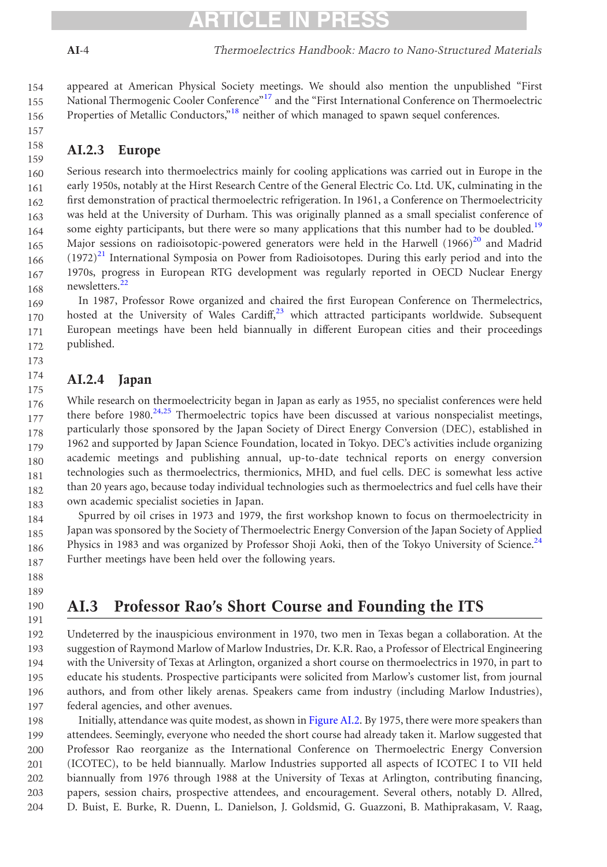### TICLE IN PRES

157

appeared at American Physical Society meetings. We should also mention the unpublished "First National Thermogenic Cooler Conference"<sup>[17](#page-7-0)</sup> and the "First International Conference on Thermoelectric Properties of Metallic Conductors,"<sup>[18](#page-7-0)</sup> neither of which managed to spawn sequel conferences. 154 155 156

#### AI.2.3 Europe 158 159

Serious research into thermoelectrics mainly for cooling applications was carried out in Europe in the early 1950s, notably at the Hirst Research Centre of the General Electric Co. Ltd. UK, culminating in the first demonstration of practical thermoelectric refrigeration. In 1961, a Conference on Thermoelectricity was held at the University of Durham. This was originally planned as a small specialist conference of some eighty participants, but there were so many applications that this number had to be doubled.<sup>[19](#page-7-0)</sup> Major sessions on radioisotopic-powered generators were held in the Harwell  $(1966)^{20}$  $(1966)^{20}$  $(1966)^{20}$  and Madrid  $(1972)^{21}$  $(1972)^{21}$  $(1972)^{21}$  International Symposia on Power from Radioisotopes. During this early period and into the 1970s, progress in European RTG development was regularly reported in OECD Nuclear Energy newsletters.[22](#page-7-0) 160 161 162 163 164 165 166 167 168

In 1987, Professor Rowe organized and chaired the first European Conference on Thermelectrics, hosted at the University of Wales Cardiff, $23$  which attracted participants worldwide. Subsequent European meetings have been held biannually in different European cities and their proceedings published. 169 170 171 172

#### AI.2.4 Japan 174

173

While research on thermoelectricity began in Japan as early as 1955, no specialist conferences were held there before  $1980.<sup>24,25</sup>$  $1980.<sup>24,25</sup>$  $1980.<sup>24,25</sup>$  Thermoelectric topics have been discussed at various nonspecialist meetings, particularly those sponsored by the Japan Society of Direct Energy Conversion (DEC), established in 1962 and supported by Japan Science Foundation, located in Tokyo. DEC's activities include organizing academic meetings and publishing annual, up-to-date technical reports on energy conversion technologies such as thermoelectrics, thermionics, MHD, and fuel cells. DEC is somewhat less active than 20 years ago, because today individual technologies such as thermoelectrics and fuel cells have their own academic specialist societies in Japan. 175 176 177 178 179 180 181 182 183

Spurred by oil crises in 1973 and 1979, the first workshop known to focus on thermoelectricity in Japan was sponsored by the Society of Thermoelectric Energy Conversion of the Japan Society of Applied Physics in 1983 and was organized by Professor Shoji Aoki, then of the Tokyo University of Science.<sup>24</sup> Further meetings have been held over the following years. 184 185 186 187

188 189

190 191

### AI.3 Professor Rao's Short Course and Founding the ITS

Undeterred by the inauspicious environment in 1970, two men in Texas began a collaboration. At the suggestion of Raymond Marlow of Marlow Industries, Dr. K.R. Rao, a Professor of Electrical Engineering with the University of Texas at Arlington, organized a short course on thermoelectrics in 1970, in part to educate his students. Prospective participants were solicited from Marlow's customer list, from journal authors, and from other likely arenas. Speakers came from industry (including Marlow Industries), federal agencies, and other avenues. 192 193 194 195 196 197

Initially, attendance was quite modest, as shown in [Figure AI.2.](#page-4-0) By 1975, there were more speakers than attendees. Seemingly, everyone who needed the short course had already taken it. Marlow suggested that Professor Rao reorganize as the International Conference on Thermoelectric Energy Conversion (ICOTEC), to be held biannually. Marlow Industries supported all aspects of ICOTEC I to VII held biannually from 1976 through 1988 at the University of Texas at Arlington, contributing financing, papers, session chairs, prospective attendees, and encouragement. Several others, notably D. Allred, D. Buist, E. Burke, R. Duenn, L. Danielson, J. Goldsmid, G. Guazzoni, B. Mathiprakasam, V. Raag, 198 199 200 201 202 203 204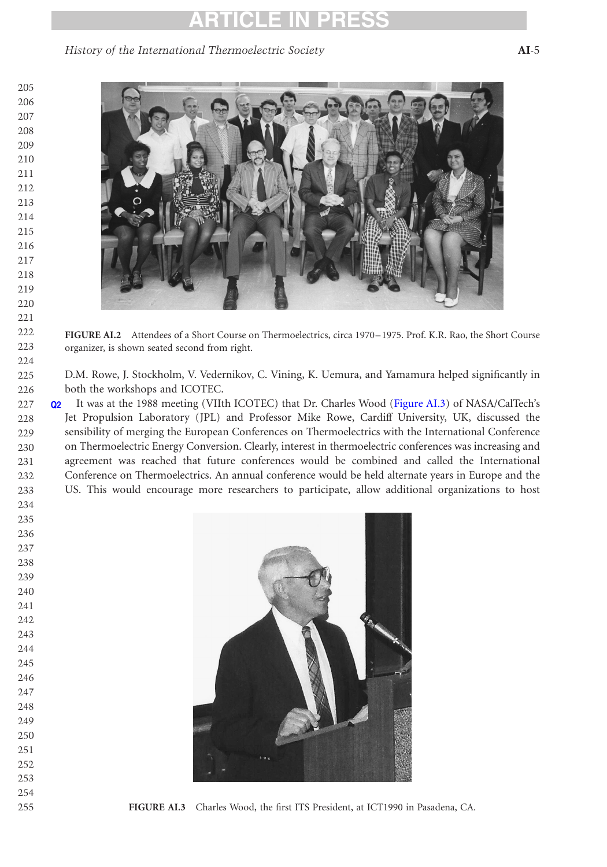<span id="page-4-0"></span>History of the International Thermoelectric Society AI-5



FIGURE AI.2 Attendees of a Short Course on Thermoelectrics, circa 1970–1975. Prof. K.R. Rao, the Short Course organizer, is shown seated second from right.

D.M. Rowe, J. Stockholm, V. Vedernikov, C. Vining, K. Uemura, and Yamamura helped significantly in both the workshops and ICOTEC.

Q2 It was at the 1988 meeting (VIIth ICOTEC) that Dr. Charles Wood (Figure AI.3) of NASA/CalTech's Jet Propulsion Laboratory (JPL) and Professor Mike Rowe, Cardiff University, UK, discussed the sensibility of merging the European Conferences on Thermoelectrics with the International Conference on Thermoelectric Energy Conversion. Clearly, interest in thermoelectric conferences was increasing and agreement was reached that future conferences would be combined and called the International Conference on Thermoelectrics. An annual conference would be held alternate years in Europe and the US. This would encourage more researchers to participate, allow additional organizations to host 



FIGURE AI.3 Charles Wood, the first ITS President, at ICT1990 in Pasadena, CA.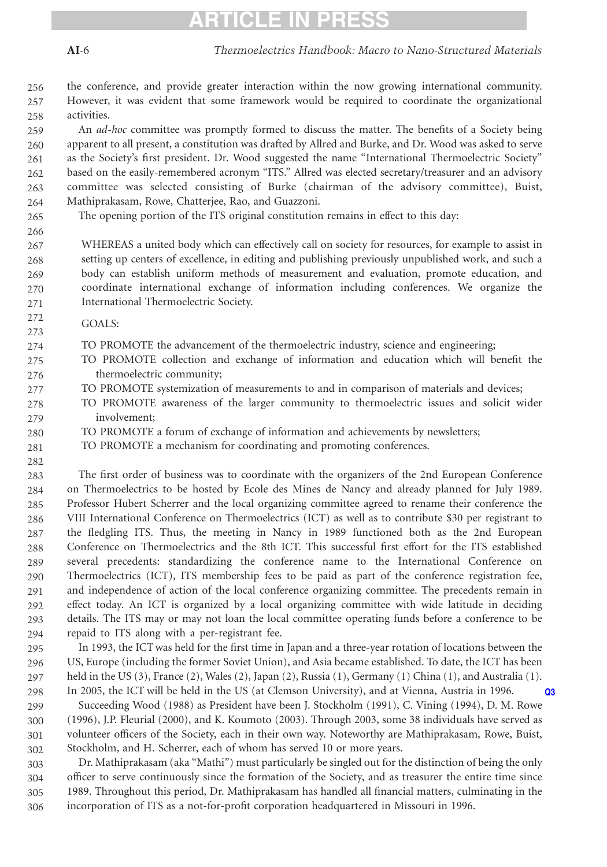### TICLE IN PRES

the conference, and provide greater interaction within the now growing international community. However, it was evident that some framework would be required to coordinate the organizational activities. 256 257 258

An *ad-hoc* committee was promptly formed to discuss the matter. The benefits of a Society being apparent to all present, a constitution was drafted by Allred and Burke, and Dr. Wood was asked to serve as the Society's first president. Dr. Wood suggested the name "International Thermoelectric Society" based on the easily-remembered acronym "ITS." Allred was elected secretary/treasurer and an advisory committee was selected consisting of Burke (chairman of the advisory committee), Buist, Mathiprakasam, Rowe, Chatterjee, Rao, and Guazzoni. 259 260 261 262 263 264

265 266

282

The opening portion of the ITS original constitution remains in effect to this day:

WHEREAS a united body which can effectively call on society for resources, for example to assist in setting up centers of excellence, in editing and publishing previously unpublished work, and such a body can establish uniform methods of measurement and evaluation, promote education, and coordinate international exchange of information including conferences. We organize the International Thermoelectric Society. 267 268 269 270 271

GOALS: 272 273

TO PROMOTE the advancement of the thermoelectric industry, science and engineering; 274

- TO PROMOTE collection and exchange of information and education which will benefit the thermoelectric community; 275 276
- TO PROMOTE systemization of measurements to and in comparison of materials and devices; 277
- TO PROMOTE awareness of the larger community to thermoelectric issues and solicit wider involvement; 278 279
- TO PROMOTE a forum of exchange of information and achievements by newsletters; 280
- TO PROMOTE a mechanism for coordinating and promoting conferences. 281

The first order of business was to coordinate with the organizers of the 2nd European Conference on Thermoelectrics to be hosted by Ecole des Mines de Nancy and already planned for July 1989. Professor Hubert Scherrer and the local organizing committee agreed to rename their conference the VIII International Conference on Thermoelectrics (ICT) as well as to contribute \$30 per registrant to the fledgling ITS. Thus, the meeting in Nancy in 1989 functioned both as the 2nd European Conference on Thermoelectrics and the 8th ICT. This successful first effort for the ITS established several precedents: standardizing the conference name to the International Conference on Thermoelectrics (ICT), ITS membership fees to be paid as part of the conference registration fee, and independence of action of the local conference organizing committee. The precedents remain in effect today. An ICT is organized by a local organizing committee with wide latitude in deciding details. The ITS may or may not loan the local committee operating funds before a conference to be repaid to ITS along with a per-registrant fee. 283 284 285 286 287 288 289 290 291 292 293  $294$ 

In 1993, the ICT was held for the first time in Japan and a three-year rotation of locations between the US, Europe (including the former Soviet Union), and Asia became established. To date, the ICT has been held in the US (3), France (2), Wales (2), Japan (2), Russia (1), Germany (1) China (1), and Australia (1). In 2005, the ICT will be held in the US (at Clemson University), and at Vienna, Austria in 1996. Q3 295 296 297 298

Succeeding Wood (1988) as President have been J. Stockholm (1991), C. Vining (1994), D. M. Rowe (1996), J.P. Fleurial (2000), and K. Koumoto (2003). Through 2003, some 38 individuals have served as volunteer officers of the Society, each in their own way. Noteworthy are Mathiprakasam, Rowe, Buist, Stockholm, and H. Scherrer, each of whom has served 10 or more years. 299 300 301 302

Dr. Mathiprakasam (aka "Mathi") must particularly be singled out for the distinction of being the only officer to serve continuously since the formation of the Society, and as treasurer the entire time since 1989. Throughout this period, Dr. Mathiprakasam has handled all financial matters, culminating in the incorporation of ITS as a not-for-profit corporation headquartered in Missouri in 1996. 303 304 305 306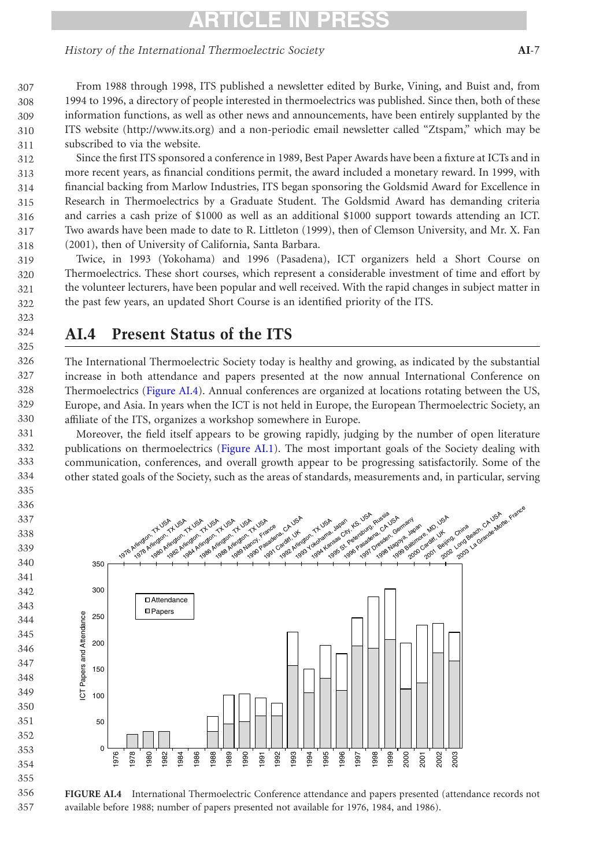#### History of the International Thermoelectric Society AI-7

From 1988 through 1998, ITS published a newsletter edited by Burke, Vining, and Buist and, from 1994 to 1996, a directory of people interested in thermoelectrics was published. Since then, both of these information functions, as well as other news and announcements, have been entirely supplanted by the ITS website (http://www.its.org) and a non-periodic email newsletter called "Ztspam," which may be subscribed to via the website. 

Since the first ITS sponsored a conference in 1989, Best Paper Awards have been a fixture at ICTs and in more recent years, as financial conditions permit, the award included a monetary reward. In 1999, with financial backing from Marlow Industries, ITS began sponsoring the Goldsmid Award for Excellence in Research in Thermoelectrics by a Graduate Student. The Goldsmid Award has demanding criteria and carries a cash prize of \$1000 as well as an additional \$1000 support towards attending an ICT. Two awards have been made to date to R. Littleton (1999), then of Clemson University, and Mr. X. Fan (2001), then of University of California, Santa Barbara. 

Twice, in 1993 (Yokohama) and 1996 (Pasadena), ICT organizers held a Short Course on Thermoelectrics. These short courses, which represent a considerable investment of time and effort by the volunteer lecturers, have been popular and well received. With the rapid changes in subject matter in the past few years, an updated Short Course is an identified priority of the ITS. 

### AI.4 Present Status of the ITS

The International Thermoelectric Society today is healthy and growing, as indicated by the substantial increase in both attendance and papers presented at the now annual International Conference on Thermoelectrics (Figure AI.4). Annual conferences are organized at locations rotating between the US, Europe, and Asia. In years when the ICT is not held in Europe, the European Thermoelectric Society, an affiliate of the ITS, organizes a workshop somewhere in Europe. 

Moreover, the field itself appears to be growing rapidly, judging by the number of open literature publications on thermoelectrics ([Figure AI.1](#page-1-0)). The most important goals of the Society dealing with communication, conferences, and overall growth appear to be progressing satisfactorily. Some of the other stated goals of the Society, such as the areas of standards, measurements and, in particular, serving

 

 





FIGURE AI.4 International Thermoelectric Conference attendance and papers presented (attendance records not available before 1988; number of papers presented not available for 1976, 1984, and 1986).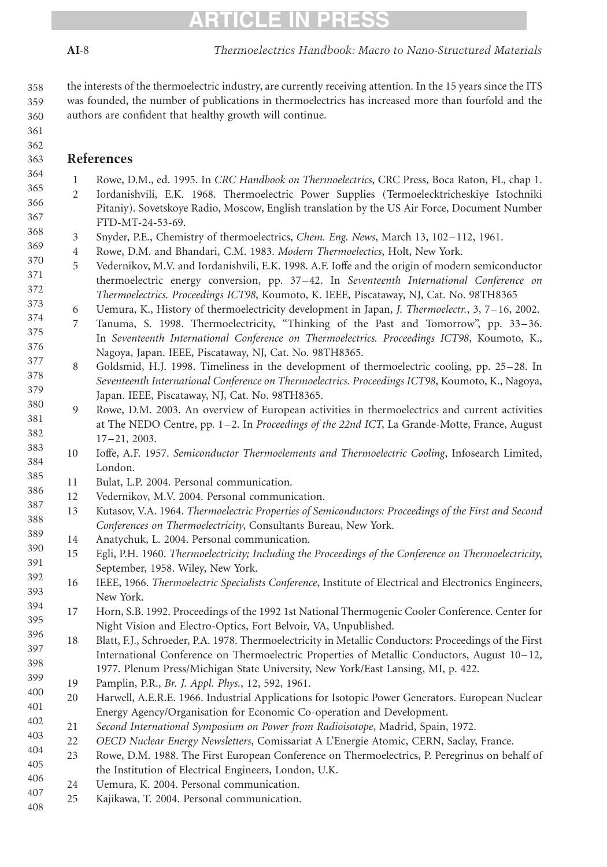361 362 363

366 367 <span id="page-7-0"></span>AI-8 Thermoelectrics Handbook: Macro to Nano-Structured Materials

the interests of the thermoelectric industry, are currently receiving attention. In the 15 years since the ITS was founded, the number of publications in thermoelectrics has increased more than fourfold and the authors are confident that healthy growth will continue. 358 359 360

#### References

- 1 Rowe, D.M., ed. 1995. In CRC Handbook on Thermoelectrics, CRC Press, Boca Raton, FL, chap 1. 364 365
	- 2 Iordanishvili, E.K. 1968. Thermoelectric Power Supplies (Termoelecktricheskiye Istochniki Pitaniy). Sovetskoye Radio, Moscow, English translation by the US Air Force, Document Number FTD-MT-24-53-69.
- 3 Snyder, P.E., Chemistry of thermoelectrics, Chem. Eng. News, March 13, 102–112, 1961. 368 369
	- 4 Rowe, D.M. and Bhandari, C.M. 1983. Modern Thermoelectics, Holt, New York.
- 5 Vedernikov, M.V. and Iordanishvili, E.K. 1998. A.F. Ioffe and the origin of modern semiconductor thermoelectric energy conversion, pp. 37–42. In Seventeenth International Conference on Thermoelectrics. Proceedings ICT98, Koumoto, K. IEEE, Piscataway, NJ, Cat. No. 98TH8365 370 371 372 373
	- 6 Uemura, K., History of thermoelectricity development in Japan, J. Thermoelectr., 3, 7–16, 2002.
- 7 Tanuma, S. 1998. Thermoelectricity, "Thinking of the Past and Tomorrow", pp. 33–36. In Seventeenth International Conference on Thermoelectrics. Proceedings ICT98, Koumoto, K., Nagoya, Japan. IEEE, Piscataway, NJ, Cat. No. 98TH8365. 374 375 376 377
- 8 Goldsmid, H.J. 1998. Timeliness in the development of thermoelectric cooling, pp. 25–28. In Seventeenth International Conference on Thermoelectrics. Proceedings ICT98, Koumoto, K., Nagoya, Japan. IEEE, Piscataway, NJ, Cat. No. 98TH8365. 378 379
- 9 Rowe, D.M. 2003. An overview of European activities in thermoelectrics and current activities at The NEDO Centre, pp. 1–2. In Proceedings of the 22nd ICT, La Grande-Motte, France, August 17–21, 2003. 380 381 382 383
- 10 Ioffe, A.F. 1957. Semiconductor Thermoelements and Thermoelectric Cooling, Infosearch Limited, London. 384 385
- 11 Bulat, L.P. 2004. Personal communication. 386
	- 12 Vedernikov, M.V. 2004. Personal communication.
- 13 Kutasov, V.A. 1964. Thermoelectric Properties of Semiconductors: Proceedings of the First and Second Conferences on Thermoelectricity, Consultants Bureau, New York. 387 388 389
- 14 Anatychuk, L. 2004. Personal communication. 390
- 15 Egli, P.H. 1960. Thermoelectricity; Including the Proceedings of the Conference on Thermoelectricity, September, 1958. Wiley, New York. 391
- 16 IEEE, 1966. Thermoelectric Specialists Conference, Institute of Electrical and Electronics Engineers, New York. 392 393
- 17 Horn, S.B. 1992. Proceedings of the 1992 1st National Thermogenic Cooler Conference. Center for Night Vision and Electro-Optics, Fort Belvoir, VA, Unpublished. 394 395 396
- 18 Blatt, F.J., Schroeder, P.A. 1978. Thermoelectricity in Metallic Conductors: Proceedings of the First International Conference on Thermoelectric Properties of Metallic Conductors, August 10–12, 1977. Plenum Press/Michigan State University, New York/East Lansing, MI, p. 422. 397 398 399
- 19 Pamplin, P.R., Br. J. Appl. Phys., 12, 592, 1961. 400
- 20 Harwell, A.E.R.E. 1966. Industrial Applications for Isotopic Power Generators. European Nuclear Energy Agency/Organisation for Economic Co-operation and Development. 401 402
- 21 Second International Symposium on Power from Radioisotope, Madrid, Spain, 1972. 403
- 22 OECD Nuclear Energy Newsletters, Comissariat A L'Energie Atomic, CERN, Saclay, France. 404
- 23 Rowe, D.M. 1988. The First European Conference on Thermoelectrics, P. Peregrinus on behalf of the Institution of Electrical Engineers, London, U.K. 405 406
- 24 Uemura, K. 2004. Personal communication. 407
- 25 Kajikawa, T. 2004. Personal communication. 408